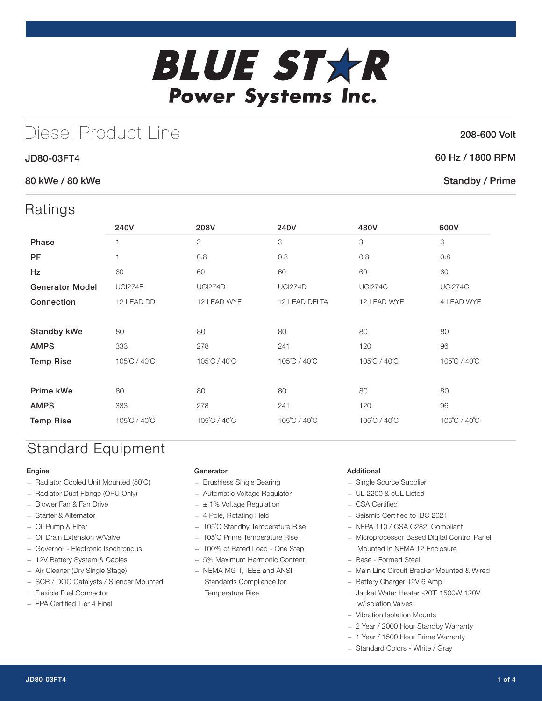# **BLUE STXR** Power Systems Inc.

## Diesel Product Line

#### JD80-03FT4

#### 80 kWe / 80 kWe

### Ratings

| 1011190                |                |                |                |                |                |
|------------------------|----------------|----------------|----------------|----------------|----------------|
|                        | 240V           | 208V           | 240V           | 480V           | 600V           |
| Phase                  | 1              | 3              | 3              | 3              | 3              |
| <b>PF</b>              | 1              | 0.8            | 0.8            | 0.8            | 0.8            |
| Hz                     | 60             | 60             | 60             | 60             | 60             |
| <b>Generator Model</b> | <b>UCI274E</b> | <b>UCI274D</b> | <b>UCI274D</b> | <b>UCI274C</b> | <b>UCI274C</b> |
| Connection             | 12 LEAD DD     | 12 LEAD WYE    | 12 LEAD DELTA  | 12 LEAD WYE    | 4 LEAD WYE     |
|                        |                |                |                |                |                |
| <b>Standby kWe</b>     | 80             | 80             | 80             | 80             | 80             |
| <b>AMPS</b>            | 333            | 278            | 241            | 120            | 96             |
| <b>Temp Rise</b>       | 105°C / 40°C   | 105°C / 40°C   | 105°C / 40°C   | 105°C / 40°C   | 105°C / 40°C   |
|                        |                |                |                |                |                |
| Prime kWe              | 80             | 80             | 80             | 80             | 80             |
| <b>AMPS</b>            | 333            | 278            | 241            | 120            | 96             |
| <b>Temp Rise</b>       | 105°C / 40°C   | 105°C / 40°C   | 105°C / 40°C   | 105°C / 40°C   | 105°C / 40°C   |

## Standard Equipment

#### Engine

- Radiator Cooled Unit Mounted (50˚C)
- Radiator Duct Flange (OPU Only)
- Blower Fan & Fan Drive
- Starter & Alternator
- Oil Pump & Filter
- Oil Drain Extension w/Valve
- Governor Electronic Isochronous
- 12V Battery System & Cables
- Air Cleaner (Dry Single Stage)
- SCR / DOC Catalysts / Silencer Mounted
- Flexible Fuel Connector
- EPA Certified Tier 4 Final

#### Generator

- Brushless Single Bearing
- Automatic Voltage Regulator
- $\pm$  1% Voltage Regulation
- 4 Pole, Rotating Field
- 105˚C Standby Temperature Rise
- 105˚C Prime Temperature Rise
- 100% of Rated Load One Step
- 5% Maximum Harmonic Content
- NEMA MG 1, IEEE and ANSI Standards Compliance for Temperature Rise

#### Additional

- Single Source Supplier
- UL 2200 & cUL Listed
- CSA Certified
- Seismic Certified to IBC 2021
- NFPA 110 / CSA C282 Compliant
- Microprocessor Based Digital Control Panel Mounted in NEMA 12 Enclosure
- Base Formed Steel
- Main Line Circuit Breaker Mounted & Wired
- Battery Charger 12V 6 Amp
- Jacket Water Heater -20˚F 1500W 120V w/Isolation Valves
- Vibration Isolation Mounts
- 2 Year / 2000 Hour Standby Warranty
- 1 Year / 1500 Hour Prime Warranty
- Standard Colors White / Gray

208-600 Volt

#### 60 Hz / 1800 RPM

#### Standby / Prime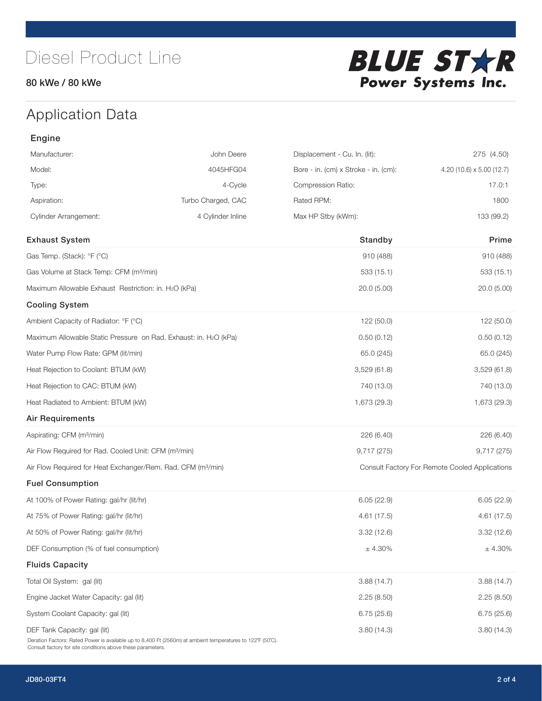#### 80 kWe / 80 kWe



## Application Data

| Engine                                                                   |                    |                                      |                                                |
|--------------------------------------------------------------------------|--------------------|--------------------------------------|------------------------------------------------|
| Manufacturer:                                                            | John Deere         | Displacement - Cu. In. (lit):        | 275 (4.50)                                     |
| Model:                                                                   | 4045HFG04          | Bore - in. (cm) x Stroke - in. (cm): | 4.20 (10.6) $\times$ 5.00 (12.7)               |
| Type:                                                                    | 4-Cycle            | Compression Ratio:                   | 17.0:1                                         |
| Aspiration:                                                              | Turbo Charged, CAC | Rated RPM:                           | 1800                                           |
| <b>Cylinder Arrangement:</b>                                             | 4 Cylinder Inline  | Max HP Stby (kWm):                   | 133 (99.2)                                     |
| <b>Exhaust System</b>                                                    |                    | Standby                              | Prime                                          |
| Gas Temp. (Stack): °F (°C)                                               |                    | 910 (488)                            | 910 (488)                                      |
| Gas Volume at Stack Temp: CFM (m <sup>3</sup> /min)                      |                    | 533 (15.1)                           | 533(15.1)                                      |
| Maximum Allowable Exhaust Restriction: in. H2O (kPa)                     |                    | 20.0(5.00)                           | 20.0(5.00)                                     |
| <b>Cooling System</b>                                                    |                    |                                      |                                                |
| Ambient Capacity of Radiator: °F (°C)                                    |                    | 122 (50.0)                           | 122 (50.0)                                     |
| Maximum Allowable Static Pressure on Rad. Exhaust: in. H2O (kPa)         |                    | 0.50(0.12)                           | 0.50(0.12)                                     |
| Water Pump Flow Rate: GPM (lit/min)                                      |                    | 65.0 (245)                           | 65.0 (245)                                     |
| Heat Rejection to Coolant: BTUM (kW)                                     |                    | 3,529(61.8)                          | 3,529(61.8)                                    |
| Heat Rejection to CAC: BTUM (kW)                                         |                    | 740 (13.0)                           | 740 (13.0)                                     |
| Heat Radiated to Ambient: BTUM (kW)                                      |                    | 1,673 (29.3)                         | 1,673 (29.3)                                   |
| <b>Air Requirements</b>                                                  |                    |                                      |                                                |
| Aspirating: CFM (m <sup>3</sup> /min)                                    |                    | 226 (6.40)                           | 226 (6.40)                                     |
| Air Flow Required for Rad. Cooled Unit: CFM (m <sup>3</sup> /min)        |                    | 9,717 (275)                          | 9,717 (275)                                    |
| Air Flow Required for Heat Exchanger/Rem. Rad. CFM (m <sup>3</sup> /min) |                    |                                      | Consult Factory For Remote Cooled Applications |
| <b>Fuel Consumption</b>                                                  |                    |                                      |                                                |
| At 100% of Power Rating: gal/hr (lit/hr)                                 |                    | 6.05(22.9)                           | 6.05(22.9)                                     |
| At 75% of Power Rating: gal/hr (lit/hr)                                  |                    | 4.61(17.5)                           | 4.61 (17.5)                                    |
| At 50% of Power Rating: gal/hr (lit/hr)                                  |                    | 3.32 (12.6)                          | 3.32(12.6)                                     |
| DEF Consumption (% of fuel consumption)                                  |                    | $\pm$ 4.30%                          | $\pm$ 4.30%                                    |
| <b>Fluids Capacity</b>                                                   |                    |                                      |                                                |
| Total Oil System: gal (lit)                                              |                    | 3.88(14.7)                           | 3.88(14.7)                                     |
| Engine Jacket Water Capacity: gal (lit)                                  |                    | 2.25(8.50)                           | 2.25(8.50)                                     |
| System Coolant Capacity: gal (lit)                                       |                    | 6.75(25.6)                           | 6.75(25.6)                                     |
| DEF Tank Capacity: gal (lit)                                             |                    | 3.80(14.3)                           | 3.80(14.3)                                     |

Deration Factors: Rated Power is available up to 8,400 Ft (2560m) at ambient temperatures to 122˚F (50˚C). Consult factory for site conditions above these parameters.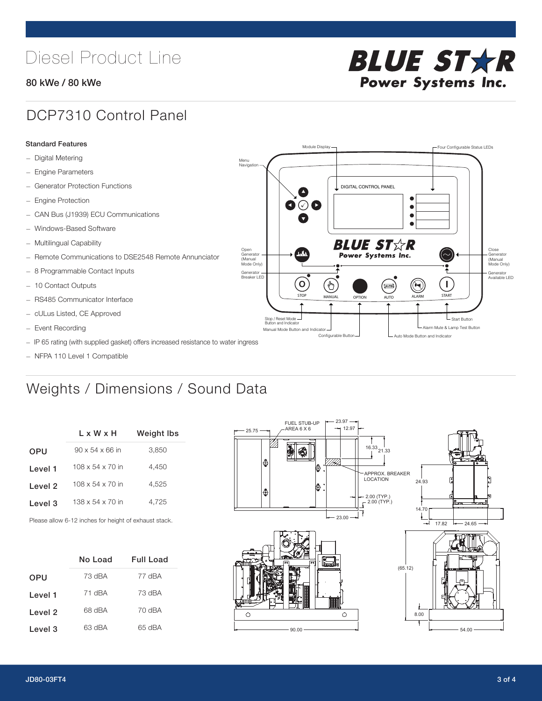## Diesel Product Line

#### 80 kWe / 80 kWe



## DCP7310 Control Panel

#### Standard Features

- Digital Metering
- Engine Parameters
- Generator Protection Functions
- Engine Protection
- CAN Bus (J1939) ECU Communications
- Windows-Based Software
- Multilingual Capability
- Remote Communications to DSE2548 Remote Annunciator
- 8 Programmable Contact Inputs
- 10 Contact Outputs
- RS485 Communicator Interface
- cULus Listed, CE Approved
- Event Recording
- IP 65 rating (with supplied gasket) offers increased resistance to water ingress
- NFPA 110 Level 1 Compatible

## Weights / Dimensions / Sound Data

|         | L x W x H                    | <b>Weight Ibs</b> |  |  |
|---------|------------------------------|-------------------|--|--|
| OPU     | $90 \times 54 \times 66$ in  | 3,850             |  |  |
| Level 1 | $108 \times 54 \times 70$ in | 4.450             |  |  |
| Level 2 | $108 \times 54 \times 70$ in | 4.525             |  |  |
| Level 3 | $138 \times 54 \times 70$ in | 4.725             |  |  |
|         |                              |                   |  |  |

Please allow 6-12 inches for height of exhaust stack.

|            | Full Load<br>No Load |        |
|------------|----------------------|--------|
| <b>OPU</b> | 73 dBA               | 77 dBA |
| Level 1    | 71 dBA               | 73 dBA |
| Level 2    | 68 dBA               | 70 dBA |
| Level 3    | 63 dBA               | 65 dBA |



STOP MANUAL OPTION AUTO ALARM START

[AUTO]

**BLUE STAR** Power Systems Inc.

Manual Mode Button and Indicator United States and Indicator United States and Indicator United States and Indicator United States and Indicator United States and Indicator United States and Indicator United States and Ind Configurable Button -  $\Box$  Auto Mode Button and Indicator

DIGITAL CONTROL PANEL

Module Display  $\Box$ 

 $\bullet$  $\bullet$  $\bullet$ 

 $\circledcirc$ 

Menu Navigation

Open Generator (Manual Mode Only)

Generator Breaker LED

Stop / Reset Mode Button and Indicator

 $\bullet$   $\circ$   $\bullet$ 

 $\sigma$ 

՟Պ

Close Generator (Manual Mode Only)

Generator Available LED

- Start Button

 $\blacksquare$